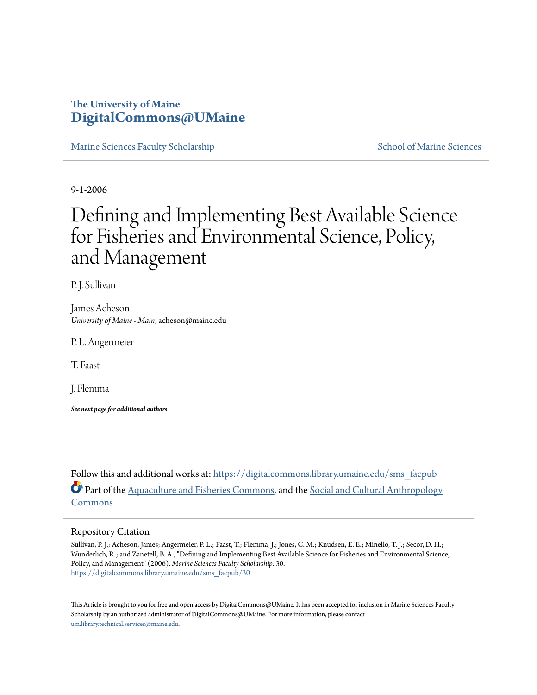### **The University of Maine [DigitalCommons@UMaine](https://digitalcommons.library.umaine.edu?utm_source=digitalcommons.library.umaine.edu%2Fsms_facpub%2F30&utm_medium=PDF&utm_campaign=PDFCoverPages)**

[Marine Sciences Faculty Scholarship](https://digitalcommons.library.umaine.edu/sms_facpub?utm_source=digitalcommons.library.umaine.edu%2Fsms_facpub%2F30&utm_medium=PDF&utm_campaign=PDFCoverPages) [School of Marine Sciences](https://digitalcommons.library.umaine.edu/sms?utm_source=digitalcommons.library.umaine.edu%2Fsms_facpub%2F30&utm_medium=PDF&utm_campaign=PDFCoverPages)

9-1-2006

# Defining and Implementing Best Available Science for Fisheries and Environmental Science, Policy, and Management

P. J. Sullivan

James Acheson *University of Maine - Main*, acheson@maine.edu

P. L. Angermeier

T. Faast

J. Flemma

*See next page for additional authors*

Follow this and additional works at: [https://digitalcommons.library.umaine.edu/sms\\_facpub](https://digitalcommons.library.umaine.edu/sms_facpub?utm_source=digitalcommons.library.umaine.edu%2Fsms_facpub%2F30&utm_medium=PDF&utm_campaign=PDFCoverPages) Part of the [Aquaculture and Fisheries Commons,](http://network.bepress.com/hgg/discipline/78?utm_source=digitalcommons.library.umaine.edu%2Fsms_facpub%2F30&utm_medium=PDF&utm_campaign=PDFCoverPages) and the [Social and Cultural Anthropology](http://network.bepress.com/hgg/discipline/323?utm_source=digitalcommons.library.umaine.edu%2Fsms_facpub%2F30&utm_medium=PDF&utm_campaign=PDFCoverPages) [Commons](http://network.bepress.com/hgg/discipline/323?utm_source=digitalcommons.library.umaine.edu%2Fsms_facpub%2F30&utm_medium=PDF&utm_campaign=PDFCoverPages)

#### Repository Citation

Sullivan, P. J.; Acheson, James; Angermeier, P. L.; Faast, T.; Flemma, J.; Jones, C. M.; Knudsen, E. E.; Minello, T. J.; Secor, D. H.; Wunderlich, R.; and Zanetell, B. A., "Defining and Implementing Best Available Science for Fisheries and Environmental Science, Policy, and Management" (2006). *Marine Sciences Faculty Scholarship*. 30. [https://digitalcommons.library.umaine.edu/sms\\_facpub/30](https://digitalcommons.library.umaine.edu/sms_facpub/30?utm_source=digitalcommons.library.umaine.edu%2Fsms_facpub%2F30&utm_medium=PDF&utm_campaign=PDFCoverPages)

This Article is brought to you for free and open access by DigitalCommons@UMaine. It has been accepted for inclusion in Marine Sciences Faculty Scholarship by an authorized administrator of DigitalCommons@UMaine. For more information, please contact [um.library.technical.services@maine.edu](mailto:um.library.technical.services@maine.edu).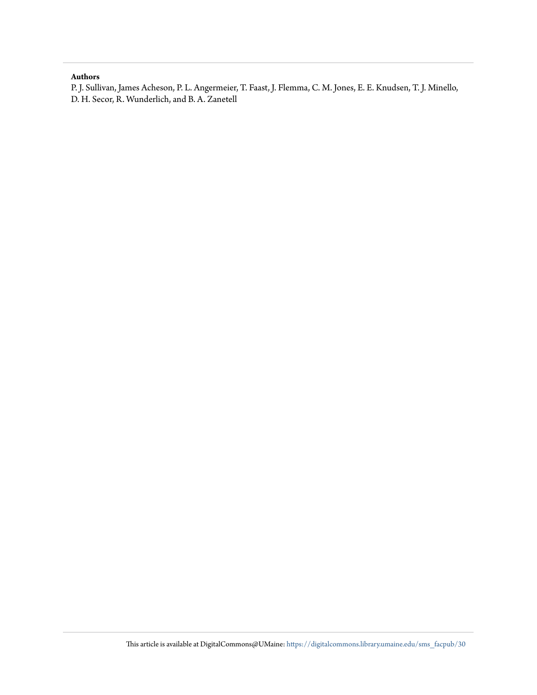#### **Authors**

P. J. Sullivan, James Acheson, P. L. Angermeier, T. Faast, J. Flemma, C. M. Jones, E. E. Knudsen, T. J. Minello, D. H. Secor, R. Wunderlich, and B. A. Zanetell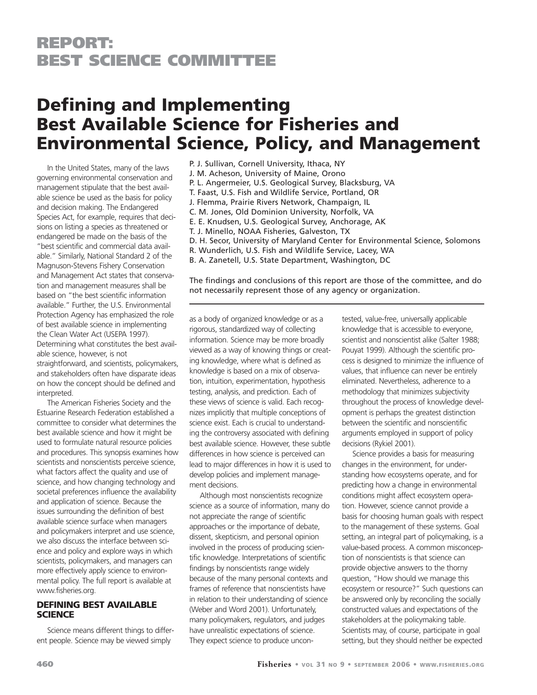## **Defining and Implementing Best Available Science for Fisheries and Environmental Science, Policy, and Management**

In the United States, many of the laws governing environmental conservation and management stipulate that the best available science be used as the basis for policy and decision making. The Endangered Species Act, for example, requires that decisions on listing a species as threatened or endangered be made on the basis of the "best scientific and commercial data available." Similarly, National Standard 2 of the Magnuson-Stevens Fishery Conservation and Management Act states that conservation and management measures shall be based on "the best scientific information available." Further, the U.S. Environmental Protection Agency has emphasized the role of best available science in implementing the Clean Water Act (USEPA 1997). Determining what constitutes the best available science, however, is not straightforward, and scientists, policymakers, and stakeholders often have disparate ideas on how the concept should be defined and interpreted.

The American Fisheries Society and the Estuarine Research Federation established a committee to consider what determines the best available science and how it might be used to formulate natural resource policies and procedures. This synopsis examines how scientists and nonscientists perceive science, what factors affect the quality and use of science, and how changing technology and societal preferences influence the availability and application of science. Because the issues surrounding the definition of best available science surface when managers and policymakers interpret and use science, we also discuss the interface between science and policy and explore ways in which scientists, policymakers, and managers can more effectively apply science to environmental policy. The full report is available at www.fisheries.org.

#### **DEFINING BEST AVAILABLE SCIENCE**

Science means different things to different people. Science may be viewed simply

P. J. Sullivan, Cornell University, Ithaca, NY J. M. Acheson, University of Maine, Orono P. L. Angermeier, U.S. Geological Survey, Blacksburg, VA T. Faast, U.S. Fish and Wildlife Service, Portland, OR J. Flemma, Prairie Rivers Network, Champaign, IL C. M. Jones, Old Dominion University, Norfolk, VA E. E. Knudsen, U.S. Geological Survey, Anchorage, AK T. J. Minello, NOAA Fisheries, Galveston, TX D. H. Secor, University of Maryland Center for Environmental Science, Solomons R. Wunderlich, U.S. Fish and Wildlife Service, Lacey, WA B. A. Zanetell, U.S. State Department, Washington, DC

The findings and conclusions of this report are those of the committee, and do not necessarily represent those of any agency or organization.

as a body of organized knowledge or as a rigorous, standardized way of collecting information. Science may be more broadly viewed as a way of knowing things or creating knowledge, where what is defined as knowledge is based on a mix of observation, intuition, experimentation, hypothesis testing, analysis, and prediction. Each of these views of science is valid. Each recognizes implicitly that multiple conceptions of science exist. Each is crucial to understanding the controversy associated with defining best available science. However, these subtle differences in how science is perceived can lead to major differences in how it is used to develop policies and implement management decisions.

Although most nonscientists recognize science as a source of information, many do not appreciate the range of scientific approaches or the importance of debate, dissent, skepticism, and personal opinion involved in the process of producing scientific knowledge. Interpretations of scientific findings by nonscientists range widely because of the many personal contexts and frames of reference that nonscientists have in relation to their understanding of science (Weber and Word 2001). Unfortunately, many policymakers, regulators, and judges have unrealistic expectations of science. They expect science to produce uncontested, value-free, universally applicable knowledge that is accessible to everyone, scientist and nonscientist alike (Salter 1988; Pouyat 1999). Although the scientific process is designed to minimize the influence of values, that influence can never be entirely eliminated. Nevertheless, adherence to a methodology that minimizes subjectivity throughout the process of knowledge development is perhaps the greatest distinction between the scientific and nonscientific arguments employed in support of policy decisions (Rykiel 2001).

Science provides a basis for measuring changes in the environment, for understanding how ecosystems operate, and for predicting how a change in environmental conditions might affect ecosystem operation. However, science cannot provide a basis for choosing human goals with respect to the management of these systems. Goal setting, an integral part of policymaking, is a value-based process. A common misconception of nonscientists is that science can provide objective answers to the thorny question, "How should we manage this ecosystem or resource?" Such questions can be answered only by reconciling the socially constructed values and expectations of the stakeholders at the policymaking table. Scientists may, of course, participate in goal setting, but they should neither be expected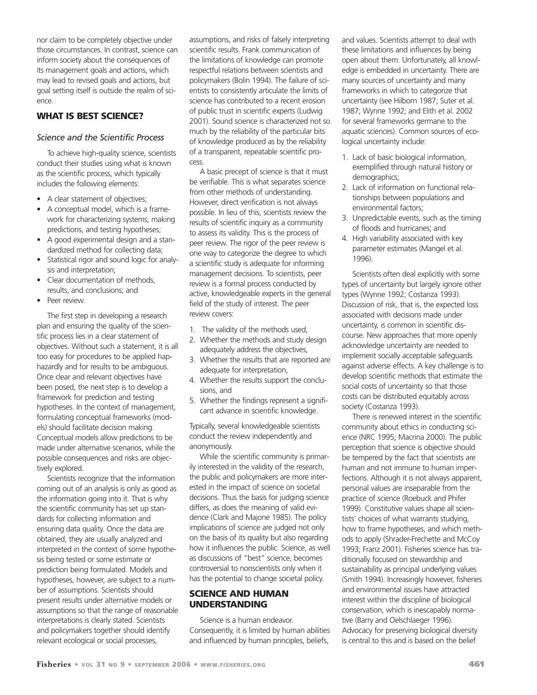nor claim to be completely objective under those circumstances. In contrast, science can inform society about the consequences of its management goals and actions, which may lead to revised goals and actions, but goal setting itself is outside the realm of science.

#### **WHAT IS BEST SCIENCE?**

#### *Science and the Scientific Process*

To achieve high-quality science, scientists conduct their studies using what is known as the scientific process, which typically includes the following elements:

- A clear statement of objectives;
- A conceptual model, which is a framework for characterizing systems, making predictions, and testing hypotheses;
- A good experimental design and a standardized method for collecting data;
- Statistical rigor and sound logic for analysis and interpretation;
- Clear documentation of methods, results, and conclusions; and
- Peer review.

The first step in developing a research plan and ensuring the quality of the scientific process lies in a clear statement of objectives. Without such a statement, it is all too easy for procedures to be applied haphazardly and for results to be ambiguous. Once clear and relevant objectives have been posed, the next step is to develop a framework for prediction and testing hypotheses. In the context of management, formulating conceptual frameworks (models) should facilitate decision making. Conceptual models allow predictions to be made under alternative scenarios, while the possible consequences and risks are objectively explored.

Scientists recognize that the information coming out of an analysis is only as good as the information going into it. That is why the scientific community has set up standards for collecting information and ensuring data quality. Once the data are obtained, they are usually analyzed and interpreted in the context of some hypothesis being tested or some estimate or prediction being formulated. Models and hypotheses, however, are subject to a number of assumptions. Scientists should present results under alternative models or assumptions so that the range of reasonable interpretations is clearly stated. Scientists and policymakers together should identify relevant ecological or social processes,

assumptions, and risks of falsely interpreting scientific results. Frank communication of the limitations of knowledge can promote respectful relations between scientists and policymakers (Bolin 1994). The failure of scientists to consistently articulate the limits of science has contributed to a recent erosion of public trust in scientific experts (Ludwig 2001). Sound science is characterized not so much by the reliability of the particular bits of knowledge produced as by the reliability of a transparent, repeatable scientific process.

A basic precept of science is that it must be verifiable. This is what separates science from other methods of understanding. However, direct verification is not always possible. In lieu of this, scientists review the results of scientific inquiry as a community to assess its validity. This is the process of peer review. The rigor of the peer review is one way to categorize the degree to which a scientific study is adequate for informing management decisions. To scientists, peer review is a formal process conducted by active, knowledgeable experts in the general field of the study of interest. The peer review covers:

- 1. The validity of the methods used,
- 2. Whether the methods and study design adequately address the objectives,
- 3. Whether the results that are reported are adequate for interpretation,
- 4. Whether the results support the conclusions, and
- 5. Whether the findings represent a significant advance in scientific knowledge.

Typically, several knowledgeable scientists conduct the review independently and anonymously.

While the scientific community is primarily interested in the validity of the research, the public and policymakers are more interested in the impact of science on societal decisions. Thus the basis for judging science differs, as does the meaning of valid evidence (Clark and Majone 1985). The policy implications of science are judged not only on the basis of its quality but also regarding how it influences the public. Science, as well as discussions of "best" science, becomes controversial to nonscientists only when it has the potential to change societal policy.

#### **SCIENCE AND HUMAN UNDERSTANDING**

Science is a human endeavor. Consequently, it is limited by human abilities and influenced by human principles, beliefs,

and values. Scientists attempt to deal with these limitations and influences by being open about them. Unfortunately, all knowledge is embedded in uncertainty. There are many sources of uncertainty and many frameworks in which to categorize that uncertainty (see Hilborn 1987; Suter et al. 1987; Wynne 1992; and Elith et al. 2002 for several frameworks germane to the aquatic sciences). Common sources of ecological uncertainty include:

- 1. Lack of basic biological information, exemplified through natural history or demographics;
- 2. Lack of information on functional relationships between populations and environmental factors;
- 3. Unpredictable events, such as the timing of floods and hurricanes; and
- 4. High variability associated with key parameter estimates (Mangel et al. 1996).

Scientists often deal explicitly with some types of uncertainty but largely ignore other types (Wynne 1992; Costanza 1993). Discussion of risk, that is, the expected loss associated with decisions made under uncertainty, is common in scientific discourse. New approaches that more openly acknowledge uncertainty are needed to implement socially acceptable safeguards against adverse effects. A key challenge is to develop scientific methods that estimate the social costs of uncertainty so that those costs can be distributed equitably across society (Costanza 1993).

There is renewed interest in the scientific community about ethics in conducting science (NRC 1995; Macrina 2000). The public perception that science is objective should be tempered by the fact that scientists are human and not immune to human imperfections. Although it is not always apparent, personal values are inseparable from the practice of science (Roebuck and Phifer 1999). Constitutive values shape all scientists' choices of what warrants studying, how to frame hypotheses, and which methods to apply (Shrader-Frechette and McCoy 1993; Franz 2001). Fisheries science has traditionally focused on stewardship and sustainability as principal underlying values (Smith 1994). Increasingly however, fisheries and environmental issues have attracted interest within the discipline of biological conservation, which is inescapably normative (Barry and Oelschlaeger 1996). Advocacy for preserving biological diversity is central to this and is based on the belief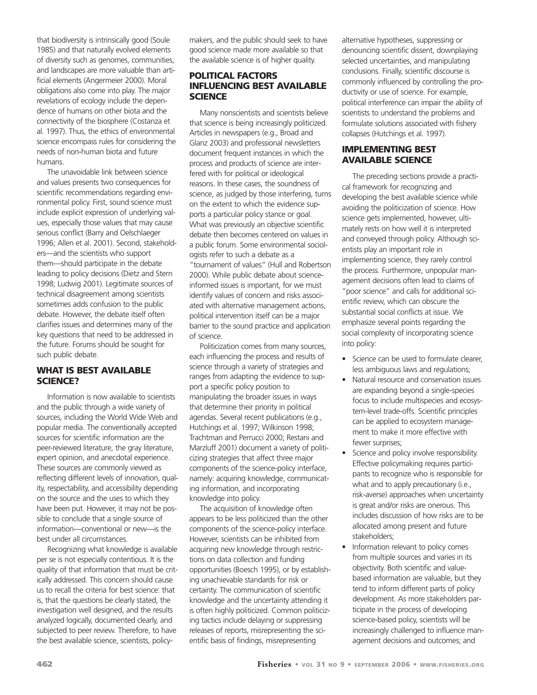that biodiversity is intrinsically good (Soule 1985) and that naturally evolved elements of diversity such as genomes, communities, and landscapes are more valuable than artificial elements (Angermeier 2000). Moral obligations also come into play. The major revelations of ecology include the dependence of humans on other biota and the connectivity of the biosphere (Costanza et al. 1997). Thus, the ethics of environmental science encompass rules for considering the needs of non-human biota and future humans.

The unavoidable link between science and values presents two consequences for scientific recommendations regarding environmental policy. First, sound science must include explicit expression of underlying values, especially those values that may cause serious conflict (Barry and Oelschlaeger 1996; Allen et al. 2001). Second, stakeholders—and the scientists who support them—should participate in the debate leading to policy decisions (Dietz and Stern 1998; Ludwig 2001). Legitimate sources of technical disagreement among scientists sometimes adds confusion to the public debate. However, the debate itself often clarifies issues and determines many of the key questions that need to be addressed in the future. Forums should be sought for such public debate.

#### **WHAT IS BEST AVAILABLE SCIENCE?**

Information is now available to scientists and the public through a wide variety of sources, including the World Wide Web and popular media. The conventionally accepted sources for scientific information are the peer-reviewed literature, the gray literature, expert opinion, and anecdotal experience. These sources are commonly viewed as reflecting different levels of innovation, quality, respectability, and accessibility depending on the source and the uses to which they have been put. However, it may not be possible to conclude that a single source of information—conventional or new—is the best under all circumstances.

Recognizing what knowledge is available per se is not especially contentious. It is the quality of that information that must be critically addressed. This concern should cause us to recall the criteria for best science: that is, that the questions be clearly stated, the investigation well designed, and the results analyzed logically, documented clearly, and subjected to peer review. Therefore, to have the best available science, scientists, policymakers, and the public should seek to have good science made more available so that the available science is of higher quality.

#### **POLITICAL FACTORS INFLUENCING BEST AVAILABLE SCIENCE**

Many nonscientists and scientists believe that science is being increasingly politicized. Articles in newspapers (e.g., Broad and Glanz 2003) and professional newsletters document frequent instances in which the process and products of science are interfered with for political or ideological reasons. In these cases, the soundness of science, as judged by those interfering, turns on the extent to which the evidence supports a particular policy stance or goal. What was previously an objective scientific debate then becomes centered on values in a public forum. Some environmental sociologists refer to such a debate as a "tournament of values" (Hull and Robertson 2000). While public debate about scienceinformed issues is important, for we must identify values of concern and risks associated with alternative management actions, political intervention itself can be a major barrier to the sound practice and application of science.

Politicization comes from many sources, each influencing the process and results of science through a variety of strategies and ranges from adapting the evidence to support a specific policy position to manipulating the broader issues in ways that determine their priority in political agendas. Several recent publications (e.g., Hutchings et al. 1997; Wilkinson 1998; Trachtman and Perrucci 2000; Restani and Marzluff 2001) document a variety of politicizing strategies that affect three major components of the science-policy interface, namely: acquiring knowledge, communicating information, and incorporating knowledge into policy.

The acquisition of knowledge often appears to be less politicized than the other components of the science-policy interface. However, scientists can be inhibited from acquiring new knowledge through restrictions on data collection and funding opportunities (Boesch 1995), or by establishing unachievable standards for risk or certainty. The communication of scientific knowledge and the uncertainty attending it is often highly politicized. Common politicizing tactics include delaying or suppressing releases of reports, misrepresenting the scientific basis of findings, misrepresenting

alternative hypotheses, suppressing or denouncing scientific dissent, downplaying selected uncertainties, and manipulating conclusions. Finally, scientific discourse is commonly influenced by controlling the productivity or use of science. For example, political interference can impair the ability of scientists to understand the problems and formulate solutions associated with fishery collapses (Hutchings et al. 1997).

#### **IMPLEMENTING BEST AVAILABLE SCIENCE**

The preceding sections provide a practical framework for recognizing and developing the best available science while avoiding the politicization of science. How science gets implemented, however, ultimately rests on how well it is interpreted and conveyed through policy. Although scientists play an important role in implementing science, they rarely control the process. Furthermore, unpopular management decisions often lead to claims of "poor science" and calls for additional scientific review, which can obscure the substantial social conflicts at issue. We emphasize several points regarding the social complexity of incorporating science into policy:

- Science can be used to formulate clearer, less ambiguous laws and regulations;
- Natural resource and conservation issues are expanding beyond a single-species focus to include multispecies and ecosystem-level trade-offs. Scientific principles can be applied to ecosystem management to make it more effective with fewer surprises;
- Science and policy involve responsibility. Effective policymaking requires participants to recognize who is responsible for what and to apply precautionary (i.e., risk-averse) approaches when uncertainty is great and/or risks are onerous. This includes discussion of how risks are to be allocated among present and future stakeholders;
- Information relevant to policy comes from multiple sources and varies in its objectivity. Both scientific and valuebased information are valuable, but they tend to inform different parts of policy development. As more stakeholders participate in the process of developing science-based policy, scientists will be increasingly challenged to influence management decisions and outcomes; and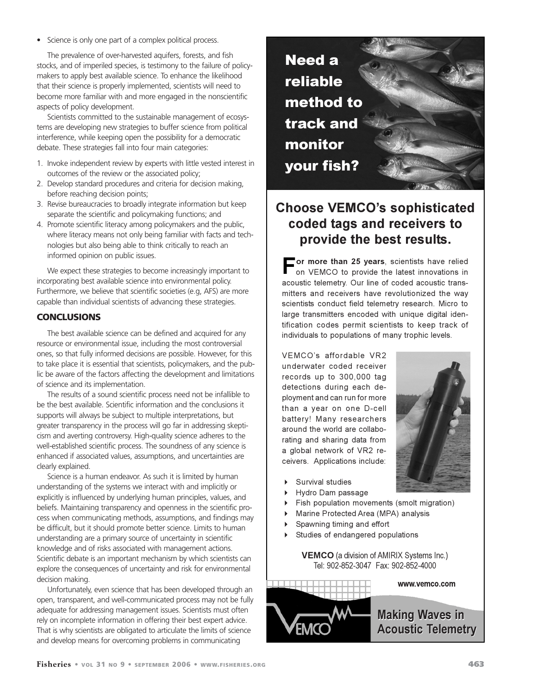• Science is only one part of a complex political process.

The prevalence of over-harvested aquifers, forests, and fish stocks, and of imperiled species, is testimony to the failure of policymakers to apply best available science. To enhance the likelihood that their science is properly implemented, scientists will need to become more familiar with and more engaged in the nonscientific aspects of policy development.

Scientists committed to the sustainable management of ecosystems are developing new strategies to buffer science from political interference, while keeping open the possibility for a democratic debate. These strategies fall into four main categories:

- 1. Invoke independent review by experts with little vested interest in outcomes of the review or the associated policy;
- 2. Develop standard procedures and criteria for decision making, before reaching decision points;
- 3. Revise bureaucracies to broadly integrate information but keep separate the scientific and policymaking functions; and
- 4. Promote scientific literacy among policymakers and the public, where literacy means not only being familiar with facts and technologies but also being able to think critically to reach an informed opinion on public issues.

We expect these strategies to become increasingly important to incorporating best available science into environmental policy. Furthermore, we believe that scientific societies (e.g, AFS) are more capable than individual scientists of advancing these strategies.

#### **CONCLUSIONS**

The best available science can be defined and acquired for any resource or environmental issue, including the most controversial ones, so that fully informed decisions are possible. However, for this to take place it is essential that scientists, policymakers, and the public be aware of the factors affecting the development and limitations of science and its implementation.

The results of a sound scientific process need not be infallible to be the best available. Scientific information and the conclusions it supports will always be subject to multiple interpretations, but greater transparency in the process will go far in addressing skepticism and averting controversy. High-quality science adheres to the well-established scientific process. The soundness of any science is enhanced if associated values, assumptions, and uncertainties are clearly explained.

Science is a human endeavor. As such it is limited by human understanding of the systems we interact with and implicitly or explicitly is influenced by underlying human principles, values, and beliefs. Maintaining transparency and openness in the scientific process when communicating methods, assumptions, and findings may be difficult, but it should promote better science. Limits to human understanding are a primary source of uncertainty in scientific knowledge and of risks associated with management actions. Scientific debate is an important mechanism by which scientists can explore the consequences of uncertainty and risk for environmental decision making.

Unfortunately, even science that has been developed through an open, transparent, and well-communicated process may not be fully adequate for addressing management issues. Scientists must often rely on incomplete information in offering their best expert advice. That is why scientists are obligated to articulate the limits of science and develop means for overcoming problems in communicating



## **Choose VEMCO's sophisticated** coded tags and receivers to provide the best results.

**- or more than 25 years**, scientists have relied<br>
on VEMCO to provide the latest innovations in on VEMCO to provide the latest innovations in acoustic telemetry. Our line of coded acoustic transmitters and receivers have revolutionized the way scientists conduct field telemetry research. Micro to large transmitters encoded with unique digital identification codes permit scientists to keep track of individuals to populations of many trophic levels.

VEMCO's affordable VR2 underwater coded receiver records up to 300,000 tag detections during each deployment and can run for more than a year on one D-cell battery! Many researchers around the world are collaborating and sharing data from a global network of VR2 receivers. Applications include:



- $\ddot{\phantom{1}}$ Survival studies
- $\ddot{\phantom{1}}$ Hydro Dam passage
- $\ddot{\phantom{1}}$ Eish population movements (smolt migration)
- $\ddot{\phantom{1}}$ Marine Protected Area (MPA) analysis
- $\mathbf{r}$ Spawning timing and effort
- $\mathbf{r}$ Studies of endangered populations

**VEMCO** (a division of AMIRIX Systems Inc.) !"#\$%& !#



www.vemco.com

**Making Waves in Acoustic Telemetry**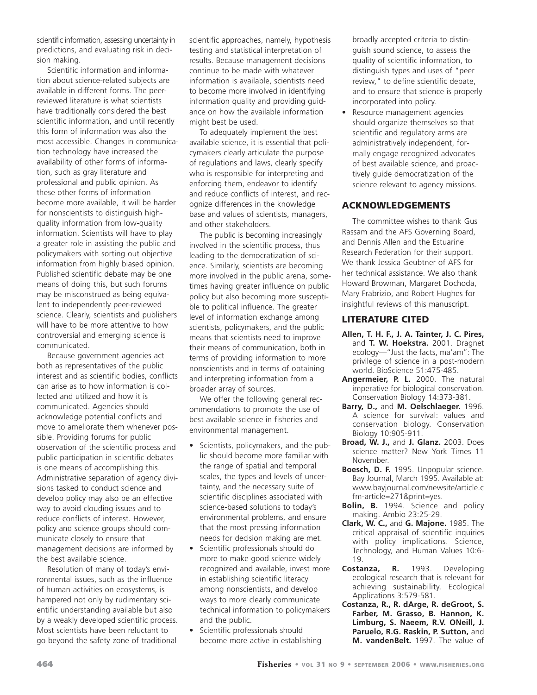scientific information, assessing uncertainty in predictions, and evaluating risk in decision making.

Scientific information and information about science-related subjects are available in different forms. The peerreviewed literature is what scientists have traditionally considered the best scientific information, and until recently this form of information was also the most accessible. Changes in communication technology have increased the availability of other forms of information, such as gray literature and professional and public opinion. As these other forms of information become more available, it will be harder for nonscientists to distinguish highquality information from low-quality information. Scientists will have to play a greater role in assisting the public and policymakers with sorting out objective information from highly biased opinion. Published scientific debate may be one means of doing this, but such forums may be misconstrued as being equivalent to independently peer-reviewed science. Clearly, scientists and publishers will have to be more attentive to how controversial and emerging science is communicated.

Because government agencies act both as representatives of the public interest and as scientific bodies, conflicts can arise as to how information is collected and utilized and how it is communicated. Agencies should acknowledge potential conflicts and move to ameliorate them whenever possible. Providing forums for public observation of the scientific process and public participation in scientific debates is one means of accomplishing this. Administrative separation of agency divisions tasked to conduct science and develop policy may also be an effective way to avoid clouding issues and to reduce conflicts of interest. However, policy and science groups should communicate closely to ensure that management decisions are informed by the best available science.

Resolution of many of today's environmental issues, such as the influence of human activities on ecosystems, is hampered not only by rudimentary scientific understanding available but also by a weakly developed scientific process. Most scientists have been reluctant to go beyond the safety zone of traditional

scientific approaches, namely, hypothesis testing and statistical interpretation of results. Because management decisions continue to be made with whatever information is available, scientists need to become more involved in identifying information quality and providing guidance on how the available information might best be used.

To adequately implement the best available science, it is essential that policymakers clearly articulate the purpose of regulations and laws, clearly specify who is responsible for interpreting and enforcing them, endeavor to identify and reduce conflicts of interest, and recognize differences in the knowledge base and values of scientists, managers, and other stakeholders.

The public is becoming increasingly involved in the scientific process, thus leading to the democratization of science. Similarly, scientists are becoming more involved in the public arena, sometimes having greater influence on public policy but also becoming more susceptible to political influence. The greater level of information exchange among scientists, policymakers, and the public means that scientists need to improve their means of communication, both in terms of providing information to more nonscientists and in terms of obtaining and interpreting information from a broader array of sources.

We offer the following general recommendations to promote the use of best available science in fisheries and environmental management.

- Scientists, policymakers, and the public should become more familiar with the range of spatial and temporal scales, the types and levels of uncertainty, and the necessary suite of scientific disciplines associated with science-based solutions to today's environmental problems, and ensure that the most pressing information needs for decision making are met.
- Scientific professionals should do more to make good science widely recognized and available, invest more in establishing scientific literacy among nonscientists, and develop ways to more clearly communicate technical information to policymakers and the public.
- Scientific professionals should become more active in establishing

broadly accepted criteria to distinguish sound science, to assess the quality of scientific information, to distinguish types and uses of "peer review," to define scientific debate, and to ensure that science is properly incorporated into policy.

Resource management agencies should organize themselves so that scientific and regulatory arms are administratively independent, formally engage recognized advocates of best available science, and proactively guide democratization of the science relevant to agency missions.

#### **ACKNOWLEDGEMENTS**

The committee wishes to thank Gus Rassam and the AFS Governing Board, and Dennis Allen and the Estuarine Research Federation for their support. We thank Jessica Geubtner of AFS for her technical assistance. We also thank Howard Browman, Margaret Dochoda, Mary Frabrizio, and Robert Hughes for insightful reviews of this manuscript.

#### **LITERATURE CITED**

- **Allen, T. H. F., J. A. Tainter, J. C. Pires,** and **T. W. Hoekstra.** 2001. Dragnet ecology—''Just the facts, ma'am'': The privilege of science in a post-modern world. BioScience 51:475-485.
- **Angermeier, P. L.** 2000. The natural imperative for biological conservation. Conservation Biology 14:373-381.
- **Barry, D.,** and **M. Oelschlaeger.** 1996. A science for survival: values and conservation biology. Conservation Biology 10:905-911.
- **Broad, W. J.,** and **J. Glanz.** 2003. Does science matter? New York Times 11 November.
- **Boesch, D. F.** 1995. Unpopular science. Bay Journal, March 1995. Available at: www.bayjournal.com/newsite/article.c fm-article=271&print=yes.
- **Bolin, B.** 1994. Science and policy making. Ambio 23:25-29.
- **Clark, W. C.,** and **G. Majone.** 1985. The critical appraisal of scientific inquiries with policy implications. Science, Technology, and Human Values 10:6- 19.
- **Costanza, R.** 1993. Developing ecological research that is relevant for achieving sustainability. Ecological Applications 3:579-581.
- **Costanza, R., R. dArge, R. deGroot, S. Farber, M. Grasso, B. Hannon, K. Limburg, S. Naeem, R.V. ONeill, J. Paruelo, R.G. Raskin, P. Sutton,** and **M. vandenBelt.** 1997. The value of